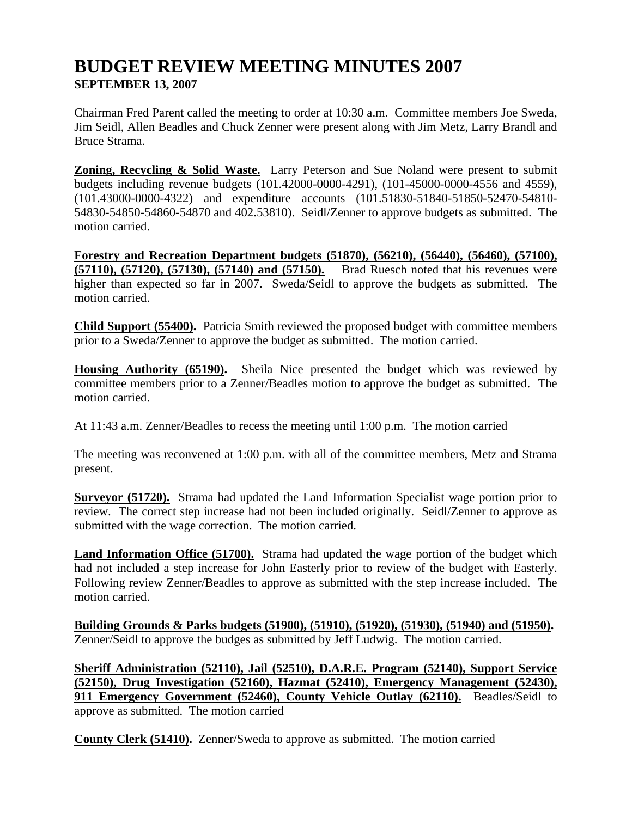# **BUDGET REVIEW MEETING MINUTES 2007 SEPTEMBER 13, 2007**

Chairman Fred Parent called the meeting to order at 10:30 a.m. Committee members Joe Sweda, Jim Seidl, Allen Beadles and Chuck Zenner were present along with Jim Metz, Larry Brandl and Bruce Strama.

**Zoning, Recycling & Solid Waste.** Larry Peterson and Sue Noland were present to submit budgets including revenue budgets (101.42000-0000-4291), (101-45000-0000-4556 and 4559), (101.43000-0000-4322) and expenditure accounts (101.51830-51840-51850-52470-54810- 54830-54850-54860-54870 and 402.53810). Seidl/Zenner to approve budgets as submitted. The motion carried.

**Forestry and Recreation Department budgets (51870), (56210), (56440), (56460), (57100), (57110), (57120), (57130), (57140) and (57150).** Brad Ruesch noted that his revenues were higher than expected so far in 2007. Sweda/Seidl to approve the budgets as submitted. The motion carried.

**Child Support (55400).** Patricia Smith reviewed the proposed budget with committee members prior to a Sweda/Zenner to approve the budget as submitted. The motion carried.

**Housing Authority (65190).** Sheila Nice presented the budget which was reviewed by committee members prior to a Zenner/Beadles motion to approve the budget as submitted. The motion carried.

At 11:43 a.m. Zenner/Beadles to recess the meeting until 1:00 p.m. The motion carried

The meeting was reconvened at 1:00 p.m. with all of the committee members, Metz and Strama present.

**Surveyor (51720).** Strama had updated the Land Information Specialist wage portion prior to review. The correct step increase had not been included originally. Seidl/Zenner to approve as submitted with the wage correction. The motion carried.

Land Information Office (51700). Strama had updated the wage portion of the budget which had not included a step increase for John Easterly prior to review of the budget with Easterly. Following review Zenner/Beadles to approve as submitted with the step increase included. The motion carried.

**Building Grounds & Parks budgets (51900), (51910), (51920), (51930), (51940) and (51950).**  Zenner/Seidl to approve the budges as submitted by Jeff Ludwig. The motion carried.

**Sheriff Administration (52110), Jail (52510), D.A.R.E. Program (52140), Support Service (52150), Drug Investigation (52160), Hazmat (52410), Emergency Management (52430), 911 Emergency Government (52460), County Vehicle Outlay (62110).** Beadles/Seidl to approve as submitted. The motion carried

**County Clerk (51410).** Zenner/Sweda to approve as submitted. The motion carried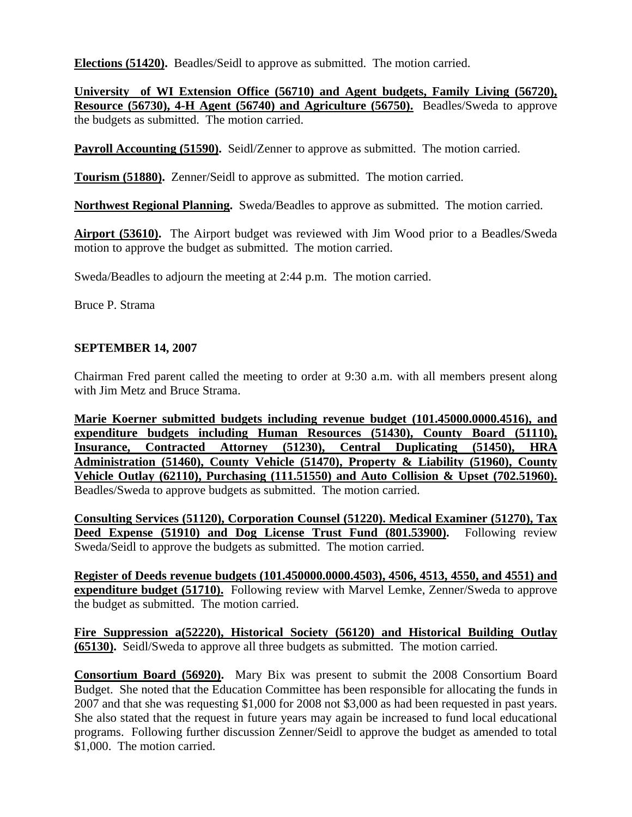**Elections (51420).** Beadles/Seidl to approve as submitted. The motion carried.

**University of WI Extension Office (56710) and Agent budgets, Family Living (56720), Resource (56730), 4-H Agent (56740) and Agriculture (56750).** Beadles/Sweda to approve the budgets as submitted. The motion carried.

**Payroll Accounting (51590).** Seidl/Zenner to approve as submitted. The motion carried.

**Tourism (51880).** Zenner/Seidl to approve as submitted. The motion carried.

**Northwest Regional Planning.** Sweda/Beadles to approve as submitted. The motion carried.

**Airport (53610).** The Airport budget was reviewed with Jim Wood prior to a Beadles/Sweda motion to approve the budget as submitted. The motion carried.

Sweda/Beadles to adjourn the meeting at 2:44 p.m. The motion carried.

Bruce P. Strama

#### **SEPTEMBER 14, 2007**

Chairman Fred parent called the meeting to order at 9:30 a.m. with all members present along with Jim Metz and Bruce Strama.

**Marie Koerner submitted budgets including revenue budget (101.45000.0000.4516), and expenditure budgets including Human Resources (51430), County Board (51110), Insurance, Contracted Attorney (51230), Central Duplicating (51450), HRA Administration (51460), County Vehicle (51470), Property & Liability (51960), County Vehicle Outlay (62110), Purchasing (111.51550) and Auto Collision & Upset (702.51960).** Beadles/Sweda to approve budgets as submitted. The motion carried.

**Consulting Services (51120), Corporation Counsel (51220). Medical Examiner (51270), Tax Deed Expense (51910) and Dog License Trust Fund (801.53900).** Following review Sweda/Seidl to approve the budgets as submitted. The motion carried.

**Register of Deeds revenue budgets (101.450000.0000.4503), 4506, 4513, 4550, and 4551) and expenditure budget (51710).** Following review with Marvel Lemke, Zenner/Sweda to approve the budget as submitted. The motion carried.

**Fire Suppression a(52220), Historical Society (56120) and Historical Building Outlay (65130).** Seidl/Sweda to approve all three budgets as submitted. The motion carried.

**Consortium Board (56920).** Mary Bix was present to submit the 2008 Consortium Board Budget. She noted that the Education Committee has been responsible for allocating the funds in 2007 and that she was requesting \$1,000 for 2008 not \$3,000 as had been requested in past years. She also stated that the request in future years may again be increased to fund local educational programs. Following further discussion Zenner/Seidl to approve the budget as amended to total \$1,000. The motion carried.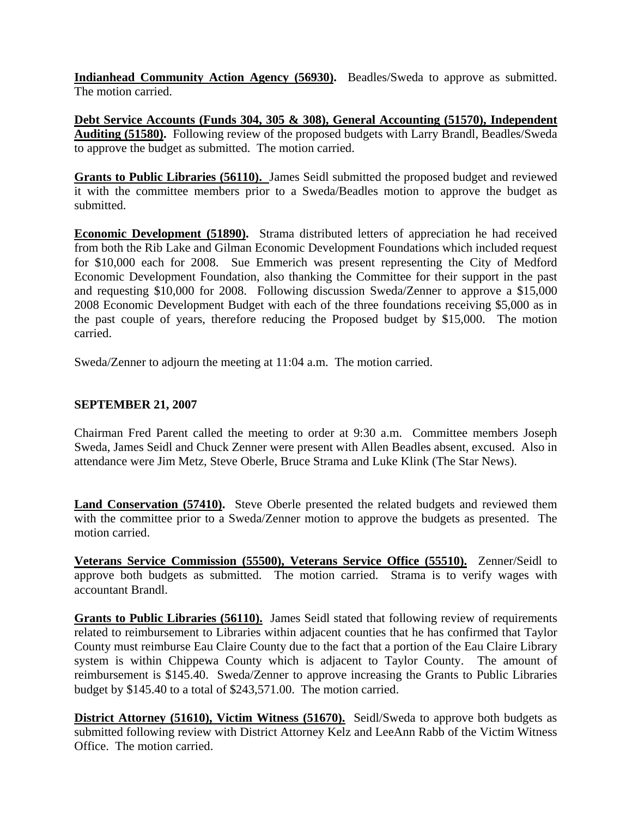**Indianhead Community Action Agency (56930).** Beadles/Sweda to approve as submitted. The motion carried.

**Debt Service Accounts (Funds 304, 305 & 308), General Accounting (51570), Independent Auditing (51580).** Following review of the proposed budgets with Larry Brandl, Beadles/Sweda to approve the budget as submitted. The motion carried.

**Grants to Public Libraries (56110).** James Seidl submitted the proposed budget and reviewed it with the committee members prior to a Sweda/Beadles motion to approve the budget as submitted.

**Economic Development (51890).** Strama distributed letters of appreciation he had received from both the Rib Lake and Gilman Economic Development Foundations which included request for \$10,000 each for 2008. Sue Emmerich was present representing the City of Medford Economic Development Foundation, also thanking the Committee for their support in the past and requesting \$10,000 for 2008. Following discussion Sweda/Zenner to approve a \$15,000 2008 Economic Development Budget with each of the three foundations receiving \$5,000 as in the past couple of years, therefore reducing the Proposed budget by \$15,000. The motion carried.

Sweda/Zenner to adjourn the meeting at 11:04 a.m. The motion carried.

#### **SEPTEMBER 21, 2007**

Chairman Fred Parent called the meeting to order at 9:30 a.m. Committee members Joseph Sweda, James Seidl and Chuck Zenner were present with Allen Beadles absent, excused. Also in attendance were Jim Metz, Steve Oberle, Bruce Strama and Luke Klink (The Star News).

**Land Conservation (57410).** Steve Oberle presented the related budgets and reviewed them with the committee prior to a Sweda/Zenner motion to approve the budgets as presented. The motion carried.

**Veterans Service Commission (55500), Veterans Service Office (55510).** Zenner/Seidl to approve both budgets as submitted. The motion carried. Strama is to verify wages with accountant Brandl.

**Grants to Public Libraries (56110).** James Seidl stated that following review of requirements related to reimbursement to Libraries within adjacent counties that he has confirmed that Taylor County must reimburse Eau Claire County due to the fact that a portion of the Eau Claire Library system is within Chippewa County which is adjacent to Taylor County. The amount of reimbursement is \$145.40. Sweda/Zenner to approve increasing the Grants to Public Libraries budget by \$145.40 to a total of \$243,571.00. The motion carried.

**District Attorney (51610), Victim Witness (51670).** Seidl/Sweda to approve both budgets as submitted following review with District Attorney Kelz and LeeAnn Rabb of the Victim Witness Office. The motion carried.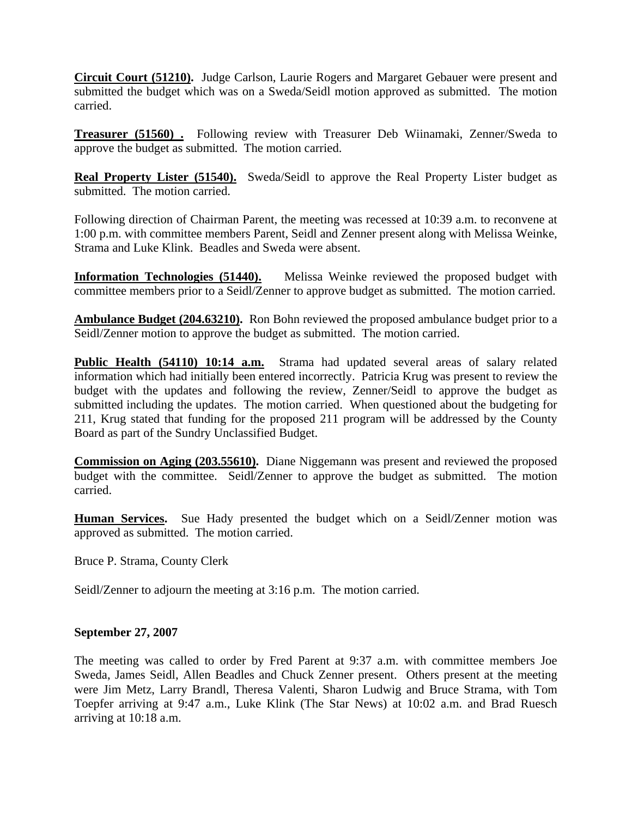**Circuit Court (51210).** Judge Carlson, Laurie Rogers and Margaret Gebauer were present and submitted the budget which was on a Sweda/Seidl motion approved as submitted. The motion carried.

**Treasurer (51560) .** Following review with Treasurer Deb Wiinamaki, Zenner/Sweda to approve the budget as submitted. The motion carried.

**Real Property Lister (51540).** Sweda/Seidl to approve the Real Property Lister budget as submitted. The motion carried.

Following direction of Chairman Parent, the meeting was recessed at 10:39 a.m. to reconvene at 1:00 p.m. with committee members Parent, Seidl and Zenner present along with Melissa Weinke, Strama and Luke Klink. Beadles and Sweda were absent.

**Information Technologies (51440).** Melissa Weinke reviewed the proposed budget with committee members prior to a Seidl/Zenner to approve budget as submitted. The motion carried.

**Ambulance Budget (204.63210).** Ron Bohn reviewed the proposed ambulance budget prior to a Seidl/Zenner motion to approve the budget as submitted. The motion carried.

**Public Health (54110) 10:14 a.m.** Strama had updated several areas of salary related information which had initially been entered incorrectly. Patricia Krug was present to review the budget with the updates and following the review, Zenner/Seidl to approve the budget as submitted including the updates. The motion carried. When questioned about the budgeting for 211, Krug stated that funding for the proposed 211 program will be addressed by the County Board as part of the Sundry Unclassified Budget.

**Commission on Aging (203.55610).** Diane Niggemann was present and reviewed the proposed budget with the committee. Seidl/Zenner to approve the budget as submitted. The motion carried.

**Human Services.** Sue Hady presented the budget which on a Seidl/Zenner motion was approved as submitted. The motion carried.

Bruce P. Strama, County Clerk

Seidl/Zenner to adjourn the meeting at 3:16 p.m. The motion carried.

#### **September 27, 2007**

The meeting was called to order by Fred Parent at 9:37 a.m. with committee members Joe Sweda, James Seidl, Allen Beadles and Chuck Zenner present. Others present at the meeting were Jim Metz, Larry Brandl, Theresa Valenti, Sharon Ludwig and Bruce Strama, with Tom Toepfer arriving at 9:47 a.m., Luke Klink (The Star News) at 10:02 a.m. and Brad Ruesch arriving at 10:18 a.m.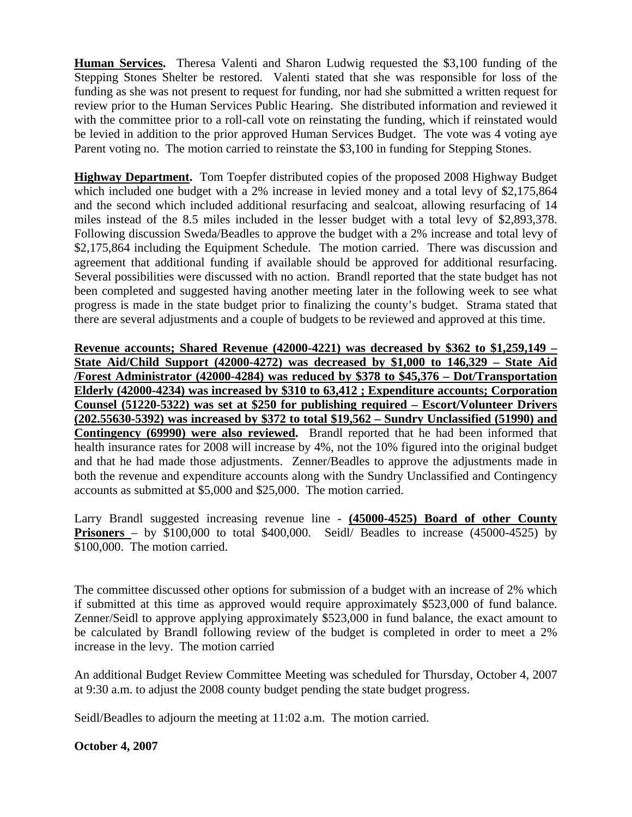**Human Services.** Theresa Valenti and Sharon Ludwig requested the \$3,100 funding of the Stepping Stones Shelter be restored. Valenti stated that she was responsible for loss of the funding as she was not present to request for funding, nor had she submitted a written request for review prior to the Human Services Public Hearing. She distributed information and reviewed it with the committee prior to a roll-call vote on reinstating the funding, which if reinstated would be levied in addition to the prior approved Human Services Budget. The vote was 4 voting aye Parent voting no. The motion carried to reinstate the \$3,100 in funding for Stepping Stones.

**Highway Department.** Tom Toepfer distributed copies of the proposed 2008 Highway Budget which included one budget with a 2% increase in levied money and a total levy of \$2,175,864 and the second which included additional resurfacing and sealcoat, allowing resurfacing of 14 miles instead of the 8.5 miles included in the lesser budget with a total levy of \$2,893,378. Following discussion Sweda/Beadles to approve the budget with a 2% increase and total levy of \$2,175,864 including the Equipment Schedule. The motion carried. There was discussion and agreement that additional funding if available should be approved for additional resurfacing. Several possibilities were discussed with no action. Brandl reported that the state budget has not been completed and suggested having another meeting later in the following week to see what progress is made in the state budget prior to finalizing the county's budget. Strama stated that there are several adjustments and a couple of budgets to be reviewed and approved at this time.

**Revenue accounts; Shared Revenue (42000-4221) was decreased by \$362 to \$1,259,149 – State Aid/Child Support (42000-4272) was decreased by \$1,000 to 146,329 – State Aid /Forest Administrator (42000-4284) was reduced by \$378 to \$45,376 – Dot/Transportation Elderly (42000-4234) was increased by \$310 to 63,412 ; Expenditure accounts; Corporation Counsel (51220-5322) was set at \$250 for publishing required – Escort/Volunteer Drivers (202.55630-5392) was increased by \$372 to total \$19,562 – Sundry Unclassified (51990) and Contingency (69990) were also reviewed.** Brandl reported that he had been informed that health insurance rates for 2008 will increase by 4%, not the 10% figured into the original budget and that he had made those adjustments. Zenner/Beadles to approve the adjustments made in both the revenue and expenditure accounts along with the Sundry Unclassified and Contingency accounts as submitted at \$5,000 and \$25,000. The motion carried.

Larry Brandl suggested increasing revenue line - **(45000-4525) Board of other County Prisoners** – by \$100,000 to total \$400,000. Seidl/ Beadles to increase (45000-4525) by \$100,000. The motion carried.

The committee discussed other options for submission of a budget with an increase of 2% which if submitted at this time as approved would require approximately \$523,000 of fund balance. Zenner/Seidl to approve applying approximately \$523,000 in fund balance, the exact amount to be calculated by Brandl following review of the budget is completed in order to meet a 2% increase in the levy. The motion carried

An additional Budget Review Committee Meeting was scheduled for Thursday, October 4, 2007 at 9:30 a.m. to adjust the 2008 county budget pending the state budget progress.

Seidl/Beadles to adjourn the meeting at 11:02 a.m. The motion carried.

## **October 4, 2007**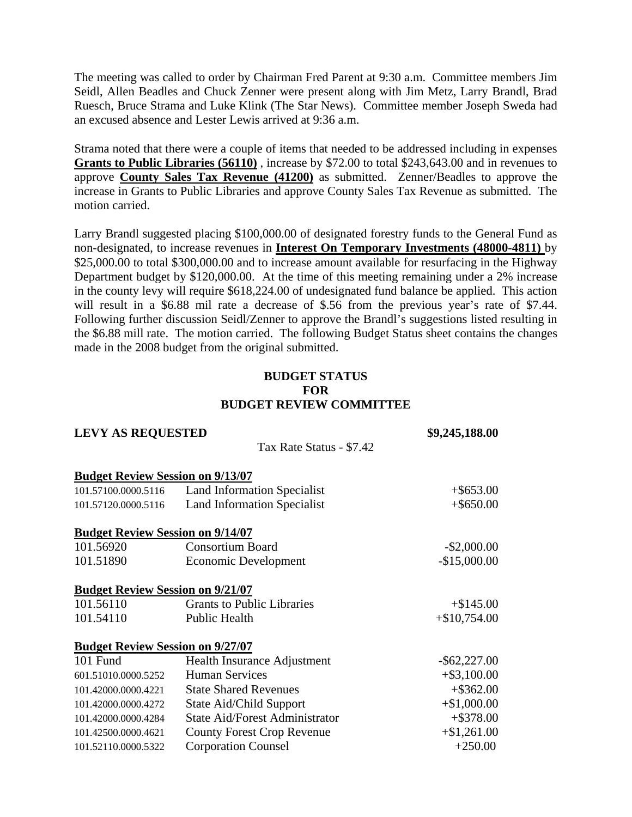The meeting was called to order by Chairman Fred Parent at 9:30 a.m. Committee members Jim Seidl, Allen Beadles and Chuck Zenner were present along with Jim Metz, Larry Brandl, Brad Ruesch, Bruce Strama and Luke Klink (The Star News). Committee member Joseph Sweda had an excused absence and Lester Lewis arrived at 9:36 a.m.

Strama noted that there were a couple of items that needed to be addressed including in expenses **Grants to Public Libraries (56110)** , increase by \$72.00 to total \$243,643.00 and in revenues to approve **County Sales Tax Revenue (41200)** as submitted. Zenner/Beadles to approve the increase in Grants to Public Libraries and approve County Sales Tax Revenue as submitted. The motion carried.

Larry Brandl suggested placing \$100,000.00 of designated forestry funds to the General Fund as non-designated, to increase revenues in **Interest On Temporary Investments (48000-4811)** by \$25,000.00 to total \$300,000.00 and to increase amount available for resurfacing in the Highway Department budget by \$120,000.00. At the time of this meeting remaining under a 2% increase in the county levy will require \$618,224.00 of undesignated fund balance be applied. This action will result in a \$6.88 mil rate a decrease of \$.56 from the previous year's rate of \$7.44. Following further discussion Seidl/Zenner to approve the Brandl's suggestions listed resulting in the \$6.88 mill rate. The motion carried. The following Budget Status sheet contains the changes made in the 2008 budget from the original submitted.

### **BUDGET STATUS FOR BUDGET REVIEW COMMITTEE**

| <b>LEVY AS REQUESTED</b>                |                                       | \$9,245,188.00  |  |  |
|-----------------------------------------|---------------------------------------|-----------------|--|--|
|                                         | Tax Rate Status - \$7.42              |                 |  |  |
| <b>Budget Review Session on 9/13/07</b> |                                       |                 |  |  |
| 101.57100.0000.5116                     | <b>Land Information Specialist</b>    | $+$ \$653.00    |  |  |
| 101.57120.0000.5116                     | <b>Land Information Specialist</b>    | $+$ \$650.00    |  |  |
| <b>Budget Review Session on 9/14/07</b> |                                       |                 |  |  |
| 101.56920                               | <b>Consortium Board</b>               | $-$ \$2,000.00  |  |  |
| 101.51890                               | <b>Economic Development</b>           | $-$15,000.00$   |  |  |
| <b>Budget Review Session on 9/21/07</b> |                                       |                 |  |  |
| 101.56110                               | <b>Grants to Public Libraries</b>     | $+ $145.00$     |  |  |
| 101.54110                               | Public Health                         | $+\$10,754.00$  |  |  |
| <b>Budget Review Session on 9/27/07</b> |                                       |                 |  |  |
| 101 Fund                                | Health Insurance Adjustment           | $-$ \$62,227.00 |  |  |
| 601.51010.0000.5252                     | <b>Human Services</b>                 | $+$ \$3,100.00  |  |  |
| 101.42000.0000.4221                     | <b>State Shared Revenues</b>          | $+$ \$362.00    |  |  |
| 101.42000.0000.4272                     | State Aid/Child Support               | $+$ \$1,000.00  |  |  |
| 101.42000.0000.4284                     | <b>State Aid/Forest Administrator</b> | $+$ \$378.00    |  |  |
| 101.42500.0000.4621                     | <b>County Forest Crop Revenue</b>     | $+ $1,261.00$   |  |  |
| 101.52110.0000.5322                     | <b>Corporation Counsel</b>            | $+250.00$       |  |  |